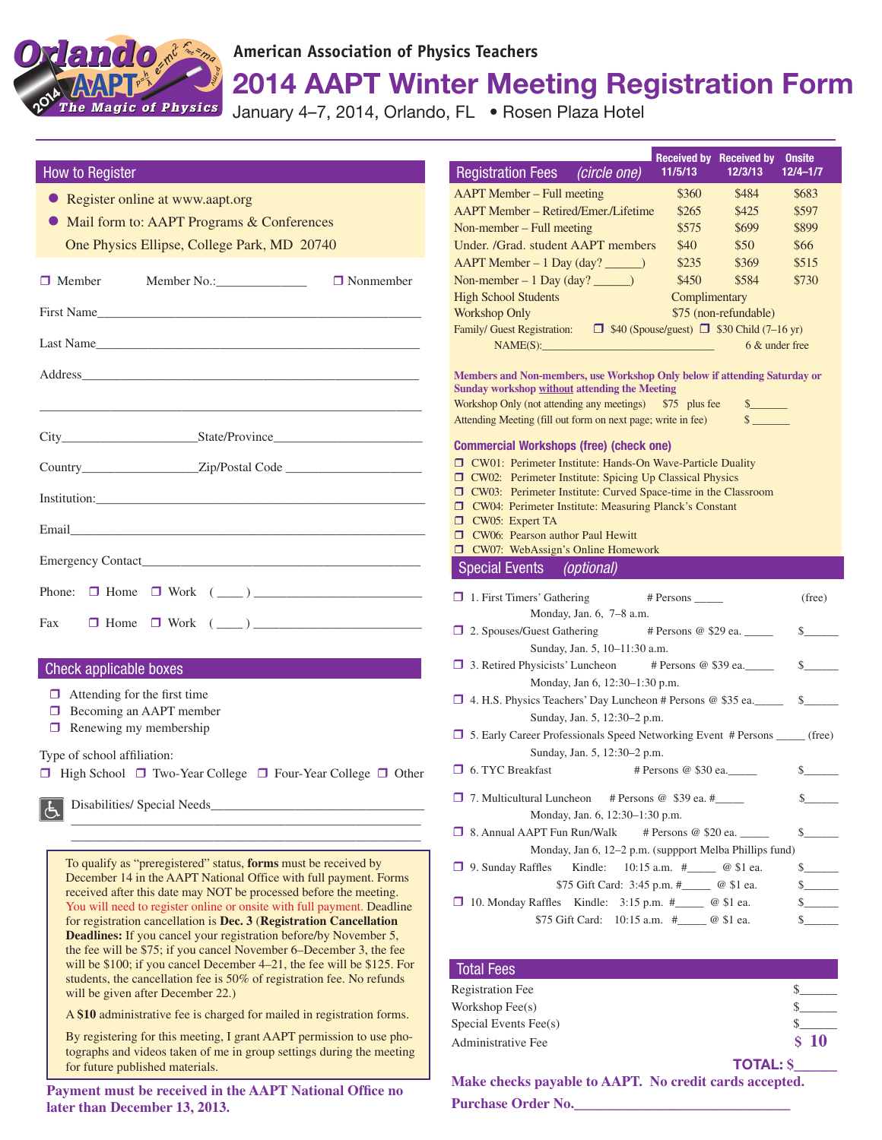*The Magic of Phy e Magic of Physics*  $O$ *rlando.* =ma p=mv  $p^2$ hλ 2014

*do***American Association of Physics Teachers**

2014 AAPT Winter Meeting Registration Form

January 4-7, 2014, Orlando, FL · Rosen Plaza Hotel

## How to Register

- **Register online at www.aapt.org**
- Mail form to: AAPT Programs & Conferences One Physics Ellipse, College Park, MD 20740

|  | First Name                                                                                                           |  |  |  |  |  |
|--|----------------------------------------------------------------------------------------------------------------------|--|--|--|--|--|
|  | Last Name                                                                                                            |  |  |  |  |  |
|  |                                                                                                                      |  |  |  |  |  |
|  | <u> 1980 - Jan James James James James James James James James James James James James James James James James J</u> |  |  |  |  |  |
|  |                                                                                                                      |  |  |  |  |  |
|  |                                                                                                                      |  |  |  |  |  |
|  |                                                                                                                      |  |  |  |  |  |
|  |                                                                                                                      |  |  |  |  |  |
|  |                                                                                                                      |  |  |  |  |  |
|  | Phone: $\Box$ Home $\Box$ Work $(\underline{\hspace{1cm}})$                                                          |  |  |  |  |  |
|  | Fax $\Box$ Home $\Box$ Work $(\underline{\hspace{1cm}})$                                                             |  |  |  |  |  |

## Check applicable boxes

- $\Box$  Attending for the first time
- $\Box$  Becoming an AAPT member
- $\Box$  Renewing my membership
- Type of school affiliation:

 $\Box$  High School  $\Box$  Two-Year College  $\Box$  Four-Year College  $\Box$  Other

\_\_\_\_\_\_\_\_\_\_\_\_\_\_\_\_\_\_\_\_\_\_\_\_\_\_\_\_\_\_\_\_\_\_\_\_\_\_\_\_\_\_\_\_\_\_\_\_\_\_\_\_\_\_ \_\_\_\_\_\_\_\_\_\_\_\_\_\_\_\_\_\_\_\_\_\_\_\_\_\_\_\_\_\_\_\_\_\_\_\_\_\_\_\_\_\_\_\_\_\_\_\_\_\_\_\_\_\_

Disabilities/ Special Needs\_

To qualify as "preregistered" status, **forms** must be received by December 14 in the AAPT National Office with full payment. Forms received after this date may NOT be processed before the meeting. You will need to register online or onsite with full payment. Deadline for registration cancellation is **Dec. 3** (**Registration Cancellation Deadlines:** If you cancel your registration before/by November 5, the fee will be \$75; if you cancel November 6–December 3, the fee will be \$100; if you cancel December 4–21, the fee will be \$125. For students, the cancellation fee is 50% of registration fee. No refunds will be given after December 22.)

A **\$10** administrative fee is charged for mailed in registration forms.

By registering for this meeting, I grant AAPT permission to use photographs and videos taken of me in group settings during the meeting for future published materials.

**Payment must be received in the AAPT National Office no later than December 13, 2013.**

| Registration Fees (circle one)                                                                                             | <b>Received by</b><br>11/5/13 | <b>Received by</b><br>12/3/13 | <b>Onsite</b><br>$12/4 - 1/7$ |
|----------------------------------------------------------------------------------------------------------------------------|-------------------------------|-------------------------------|-------------------------------|
| <b>AAPT</b> Member – Full meeting                                                                                          | \$360                         | \$484                         | \$683                         |
| AAPT Member - Retired/Emer./Lifetime                                                                                       | \$265                         | \$425                         | \$597                         |
| Non-member – Full meeting                                                                                                  | \$575                         | \$699                         | \$899                         |
| Under. /Grad. student AAPT members                                                                                         | \$40                          | \$50                          | \$66                          |
| AAPT Member - 1 Day (day? _____)                                                                                           | \$235                         | \$369                         | \$515                         |
| Non-member $-1$ Day (day? _______)                                                                                         | \$450                         | \$584                         | \$730                         |
| <b>High School Students</b>                                                                                                | Complimentary                 |                               |                               |
| <b>Workshop Only</b>                                                                                                       |                               | \$75 (non-refundable)         |                               |
| Family/ Guest Registration: $\Box$ \$40 (Spouse/guest) $\Box$ \$30 Child (7–16 yr)                                         |                               |                               |                               |
| NAME(S):                                                                                                                   |                               | 6 & under free                |                               |
| Members and Non-members, use Workshop Only below if attending Saturday or                                                  |                               |                               |                               |
| <b>Sunday workshop without attending the Meeting</b>                                                                       |                               |                               |                               |
| Workshop Only (not attending any meetings) \$75 plus fee<br>Attending Meeting (fill out form on next page; write in fee)   |                               | s                             |                               |
|                                                                                                                            |                               |                               |                               |
| <b>Commercial Workshops (free) (check one)</b>                                                                             |                               |                               |                               |
| CW01: Perimeter Institute: Hands-On Wave-Particle Duality                                                                  |                               |                               |                               |
| CW02: Perimeter Institute: Spicing Up Classical Physics<br>□ CW03: Perimeter Institute: Curved Space-time in the Classroom |                               |                               |                               |
| CW04: Perimeter Institute: Measuring Planck's Constant                                                                     |                               |                               |                               |
| $\Box$ CW05: Expert TA                                                                                                     |                               |                               |                               |
| □ CW06: Pearson author Paul Hewitt                                                                                         |                               |                               |                               |
| □ CW07: WebAssign's Online Homework                                                                                        |                               |                               |                               |
| Special Events (optional)                                                                                                  |                               |                               |                               |
| $\Box$ 1. First Timers' Gathering                                                                                          | # Persons _______             |                               | (free)                        |
| Monday, Jan. 6, 7-8 a.m.                                                                                                   |                               |                               |                               |
| □ 2. Spouses/Guest Gathering # Persons @ \$29 ea. ______                                                                   |                               |                               | $s$ and $s$                   |
| Sunday, Jan. 5, 10-11:30 a.m.                                                                                              |                               |                               |                               |
| □ 3. Retired Physicists' Luncheon # Persons @ \$39 ea.                                                                     |                               |                               | $\mathbb{S}$ and $\mathbb{S}$ |
| Monday, Jan 6, 12:30-1:30 p.m.                                                                                             |                               |                               |                               |
| $\Box$ 4. H.S. Physics Teachers' Day Luncheon # Persons @ \$35 ea.                                                         |                               |                               | $\mathbb{S}$ and $\mathbb{S}$ |
| Sunday, Jan. 5, 12:30-2 p.m.                                                                                               |                               |                               |                               |
| 5. Early Career Professionals Speed Networking Event # Persons ______ (free)                                               |                               |                               |                               |
| Sunday, Jan. 5, 12:30-2 p.m.                                                                                               |                               |                               |                               |
| <b>6. TYC Breakfast</b>                                                                                                    | # Persons @ \$30 ea.          |                               | \$                            |
| $\Box$ 7. Multicultural Luncheon # Persons @ \$39 ea. #                                                                    |                               |                               | $\frac{1}{2}$                 |
| Monday, Jan. 6, 12:30–1:30 p.m.                                                                                            |                               |                               |                               |
| □ 8. Annual AAPT Fun Run/Walk                                                                                              | # Persons @ \$20 ea. _____    |                               | $s$ –                         |
| Monday, Jan 6, 12-2 p.m. (suppport Melba Phillips fund)                                                                    |                               |                               |                               |
| Kindle:<br>$\Box$ 9. Sunday Raffles                                                                                        | 10:15 a.m. #______ @ \$1 ea.  |                               |                               |
| \$75 Gift Card: 3:45 p.m. #_______ @ \$1 ea.                                                                               |                               |                               |                               |
| 10. Monday Raffles Kindle: 3:15 p.m. #_______ @ \$1 ea.                                                                    |                               |                               | $\mathbb{S}$ and $\mathbb{S}$ |
| \$75 Gift Card:                                                                                                            | 10:15 a.m. #______ @ \$1 ea.  |                               | $s$ and $s$                   |
|                                                                                                                            |                               |                               |                               |

| <b>Total Fees</b>       |                 |
|-------------------------|-----------------|
| <b>Registration Fee</b> |                 |
| Workshop Fee(s)         |                 |
| Special Events Fee(s)   |                 |
| Administrative Fee      | <b>S</b> 10     |
|                         | <b>TOTAL: S</b> |

**Make checks payable to AAPT. No credit cards accepted. Purchase Order No.\_\_\_\_\_\_\_\_\_\_\_\_\_\_\_\_\_\_\_\_\_\_\_\_\_\_\_\_\_\_**